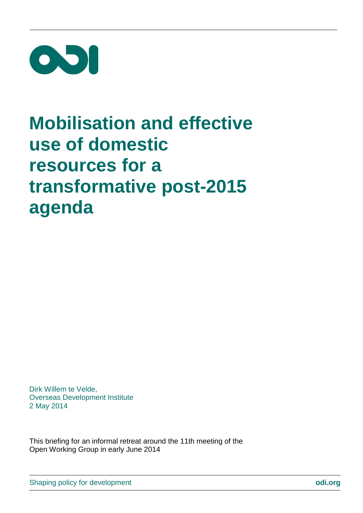

# **Mobilisation and effective use of domestic resources for a transformative post-2015 agenda**

Dirk Willem te Velde, Overseas Development Institute 2 May 2014

This briefing for an informal retreat around the 11th meeting of the Open Working Group in early June 2014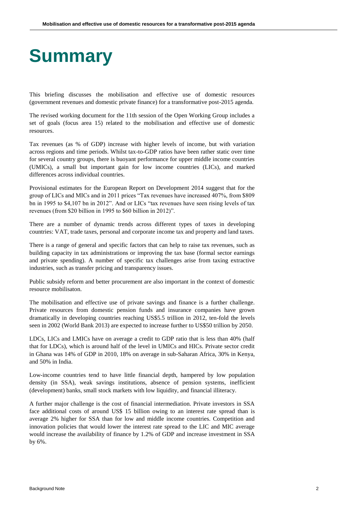## **Summary**

This briefing discusses the mobilisation and effective use of domestic resources (government revenues and domestic private finance) for a transformative post-2015 agenda.

The revised working document for the 11th session of the Open Working Group includes a set of goals (focus area 15) related to the mobilisation and effective use of domestic resources.

Tax revenues (as % of GDP) increase with higher levels of income, but with variation across regions and time periods. Whilst tax-to-GDP ratios have been rather static over time for several country groups, there is buoyant performance for upper middle income countries (UMICs), a small but important gain for low income countries (LICs), and marked differences across individual countries.

Provisional estimates for the European Report on Development 2014 suggest that for the group of LICs and MICs and in 2011 prices "Tax revenues have increased 407%, from \$809 bn in 1995 to \$4,107 bn in 2012". And or LICs "tax revenues have seen rising levels of tax revenues (from \$20 billion in 1995 to \$60 billion in 2012)".

There are a number of dynamic trends across different types of taxes in developing countries: VAT, trade taxes, personal and corporate income tax and property and land taxes.

There is a range of general and specific factors that can help to raise tax revenues, such as building capacity in tax administrations or improving the tax base (formal sector earnings and private spending). A number of specific tax challenges arise from taxing extractive industries, such as transfer pricing and transparency issues.

Public subsidy reform and better procurement are also important in the context of domestic resource mobilisaton.

The mobilisation and effective use of private savings and finance is a further challenge. Private resources from domestic pension funds and insurance companies have grown dramatically in developing countries reaching US\$5.5 trillion in 2012, ten-fold the levels seen in 2002 (World Bank 2013) are expected to increase further to US\$50 trillion by 2050.

LDCs, LICs and LMICs have on average a credit to GDP ratio that is less than 40% (half that for LDCs), which is around half of the level in UMICs and HICs. Private sector credit in Ghana was 14% of GDP in 2010, 18% on average in sub-Saharan Africa, 30% in Kenya, and 50% in India.

Low-income countries tend to have little financial depth, hampered by low population density (in SSA), weak savings institutions, absence of pension systems, inefficient (development) banks, small stock markets with low liquidity, and financial illiteracy.

A further major challenge is the cost of financial intermediation. Private investors in SSA face additional costs of around US\$ 15 billion owing to an interest rate spread than is average 2% higher for SSA than for low and middle income countries. Competition and innovation policies that would lower the interest rate spread to the LIC and MIC average would increase the availability of finance by 1.2% of GDP and increase investment in SSA by 6%.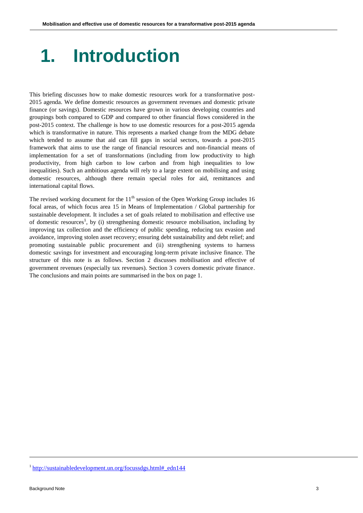# **1. Introduction**

This briefing discusses how to make domestic resources work for a transformative post-2015 agenda. We define domestic resources as government revenues and domestic private finance (or savings). Domestic resources have grown in various developing countries and groupings both compared to GDP and compared to other financial flows considered in the post-2015 context. The challenge is how to use domestic resources for a post-2015 agenda which is transformative in nature. This represents a marked change from the MDG debate which tended to assume that aid can fill gaps in social sectors, towards a post-2015 framework that aims to use the range of financial resources and non-financial means of implementation for a set of transformations (including from low productivity to high productivity, from high carbon to low carbon and from high inequalities to low inequalities). Such an ambitious agenda will rely to a large extent on mobilising and using domestic resources, although there remain special roles for aid, remittances and international capital flows.

The revised working document for the  $11<sup>th</sup>$  session of the Open Working Group includes 16 focal areas, of which focus area 15 in Means of Implementation / Global partnership for sustainable development. It includes a set of goals related to mobilisation and effective use of domestic resources<sup>1</sup>, by (i) strengthening domestic resource mobilisation, including by improving tax collection and the efficiency of public spending, reducing tax evasion and avoidance, improving stolen asset recovery; ensuring debt sustainability and debt relief; and promoting sustainable public procurement and (ii) strengthening systems to harness domestic savings for investment and encouraging long-term private inclusive finance. The structure of this note is as follows. Section 2 discusses mobilisation and effective of government revenues (especially tax revenues). Section 3 covers domestic private finance. The conclusions and main points are summarised in the box on page 1.

<sup>&</sup>lt;sup>1</sup>[http://sustainabledevelopment.un.org/focussdgs.html#\\_edn144](http://sustainabledevelopment.un.org/focussdgs.html#_edn144)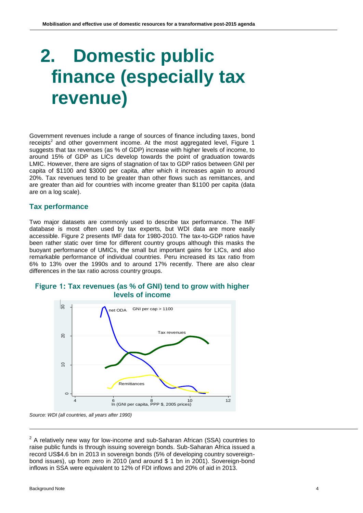# **2. Domestic public finance (especially tax revenue)**

Government revenues include a range of sources of finance including taxes, bond receipts<sup>2</sup> and other government income. At the most aggregated level, Figure 1 suggests that tax revenues (as % of GDP) increase with higher levels of income, to around 15% of GDP as LICs develop towards the point of graduation towards LMIC. However, there are signs of stagnation of tax to GDP ratios between GNI per capita of \$1100 and \$3000 per capita, after which it increases again to around 20%. Tax revenues tend to be greater than other flows such as remittances, and are greater than aid for countries with income greater than \$1100 per capita (data are on a log scale).

### **Tax performance**

Two major datasets are commonly used to describe tax performance. The IMF database is most often used by tax experts, but WDI data are more easily accessible. Figure 2 presents IMF data for 1980-2010. The tax-to-GDP ratios have been rather static over time for different country groups although this masks the buoyant performance of UMICs, the small but important gains for LICs, and also remarkable performance of individual countries. Peru increased its tax ratio from 6% to 13% over the 1990s and to around 17% recently. There are also clear differences in the tax ratio across country groups.





*Source: WDI (all countries, all years after 1990)*

 $2$  A relatively new way for low-income and sub-Saharan African (SSA) countries to raise public funds is through issuing sovereign bonds. Sub-Saharan Africa issued a record US\$4.6 bn in 2013 in sovereign bonds (5% of developing country sovereignbond issues), up from zero in 2010 (and around \$ 1 bn in 2001). Sovereign-bond inflows in SSA were equivalent to 12% of FDI inflows and 20% of aid in 2013.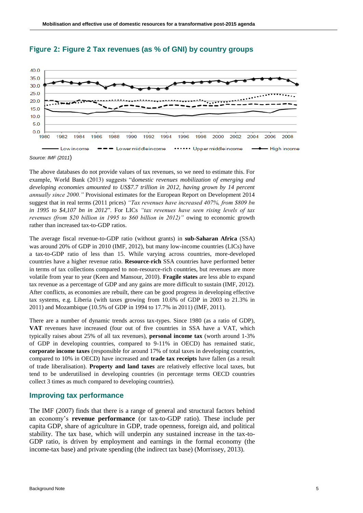

### **Figure 2: Figure 2 Tax revenues (as % of GNI) by country groups**

The above databases do not provide values of tax revenues, so we need to estimate this. For example, World Bank (2013) suggests "d*omestic revenues mobilization of emerging and developing economies amounted to US\$7.7 trillion in 2012, having grown by 14 percent annually since 2000."* Provisional estimates for the European Report on Development 2014 suggest that in real terms (2011 prices) *"Tax revenues have increased 407%, from \$809 bn in 1995 to \$4,107 bn in 2012*". For LICs *"tax revenues have seen rising levels of tax revenues (from \$20 billion in 1995 to \$60 billion in 2012)"* owing to economic growth rather than increased tax-to-GDP ratios.

The average fiscal revenue-to-GDP ratio (without grants) in **sub-Saharan Africa** (SSA) was around 20% of GDP in 2010 (IMF, 2012), but many low-income countries (LICs) have a tax-to-GDP ratio of less than 15. While varying across countries, more-developed countries have a higher revenue ratio. **Resource-rich** SSA countries have performed better in terms of tax collections compared to non-resource-rich countries, but revenues are more volatile from year to year (Keen and Mansour, 2010). **Fragile states** are less able to expand tax revenue as a percentage of GDP and any gains are more difficult to sustain (IMF, 2012). After conflicts, as economies are rebuilt, there can be good progress in developing effective tax systems, e.g. Liberia (with taxes growing from 10.6% of GDP in 2003 to 21.3% in 2011) and Mozambique (10.5% of GDP in 1994 to 17.7% in 2011) (IMF, 2011).

There are a number of dynamic trends across tax-types. Since 1980 (as a ratio of GDP), **VAT** revenues have increased (four out of five countries in SSA have a VAT, which typically raises about 25% of all tax revenues), **personal income tax** (worth around 1-3% of GDP in developing countries, compared to 9-11% in OECD) has remained static, **corporate income taxes** (responsible for around 17% of total taxes in developing countries, compared to 10% in OECD) have increased and **trade tax receipts** have fallen (as a result of trade liberalisation). **Property and land taxes** are relatively effective local taxes, but tend to be underutilised in developing countries (in percentage terms OECD countries collect 3 times as much compared to developing countries).

#### **Improving tax performance**

The IMF (2007) finds that there is a range of general and structural factors behind an economy's **revenue performance** (or tax-to-GDP ratio). These include per capita GDP, share of agriculture in GDP, trade openness, foreign aid, and political stability. The tax base, which will underpin any sustained increase in the tax-to-GDP ratio, is driven by employment and earnings in the formal economy (the income-tax base) and private spending (the indirect tax base) (Morrissey, 2013).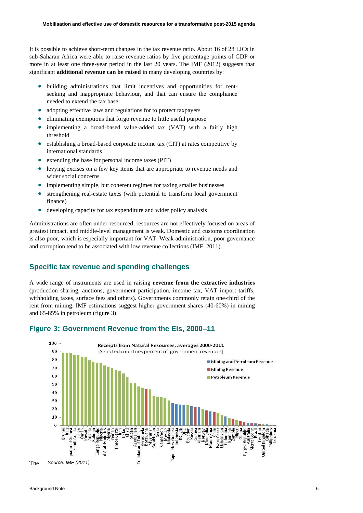It is possible to achieve short-term changes in the tax revenue ratio. About 16 of 28 LICs in sub-Saharan Africa were able to raise revenue ratios by five percentage points of GDP or more in at least one three-year period in the last 20 years. The IMF (2012) suggests that significant **additional revenue can be raised** in many developing countries by:

- building administrations that limit incentives and opportunities for rentseeking and inappropriate behaviour, and that can ensure the compliance needed to extend the tax base
- adopting effective laws and regulations for to protect taxpayers
- eliminating exemptions that forgo revenue to little useful purpose
- implementing a broad-based value-added tax (VAT) with a fairly high threshold
- establishing a broad-based corporate income tax (CIT) at rates competitive by international standards
- extending the base for personal income taxes (PIT)
- levying excises on a few key items that are appropriate to revenue needs and wider social concerns
- implementing simple, but coherent regimes for taxing smaller businesses
- strengthening real-estate taxes (with potential to transform local government finance)
- developing capacity for tax expenditure and wider policy analysis

Administrations are often under-resourced, resources are not effectively focused on areas of greatest impact, and middle-level management is weak. Domestic and customs coordination is also poor, which is especially important for VAT. Weak administration, poor governance and corruption tend to be associated with low revenue collections (IMF, 2011).

#### **Specific tax revenue and spending challenges**

A wide range of instruments are used in raising **revenue from the extractive industries** (production sharing, auctions, government participation, income tax, VAT import tariffs, withholding taxes, surface fees and others). Governments commonly retain one-third of the rent from mining. IMF estimations suggest higher government shares (40-60%) in mining and 65-85% in petroleum (figure 3).



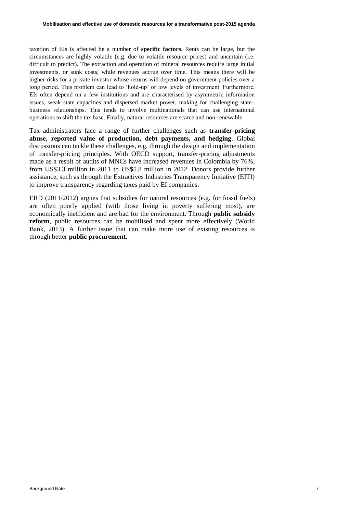taxation of EIs is affected be a number of **specific factors**. Rents can be large, but the circumstances are highly volatile (e.g. due to volatile resource prices) and uncertain (i.e. difficult to predict). The extraction and operation of mineral resources require large initial investments, or sunk costs, while revenues accrue over time. This means there will be higher risks for a private investor whose returns will depend on government policies over a long period. This problem can lead to 'hold-up' or low levels of investment. Furthermore, EIs often depend on a few institutions and are characterised by asymmetric information issues, weak state capacities and dispersed market power, making for challenging state– business relationships. This tends to involve multinationals that can use international operations to shift the tax base. Finally, natural resources are scarce and non-renewable.

Tax administrators face a range of further challenges such as **transfer-pricing abuse, reported value of production, debt payments, and hedging**. Global discussions can tackle these challenges, e.g. through the design and implementation of transfer-pricing principles. With OECD support, transfer-pricing adjustments made as a result of audits of MNCs have increased revenues in Colombia by 76%, from US\$3.3 million in 2011 to US\$5.8 million in 2012. Donors provide further assistance, such as through the Extractives Industries Transparency Initiative (EITI) to improve transparency regarding taxes paid by EI companies.

ERD (2011/2012) argues that subsidies for natural resources (e.g. for fossil fuels) are often poorly applied (with those living in poverty suffering most), are economically inefficient and are bad for the environment. Through **public subsidy reform**, public resources can be mobilised and spent more effectively (World Bank, 2013). A further issue that can make more use of existing resources is through better **public procurement**.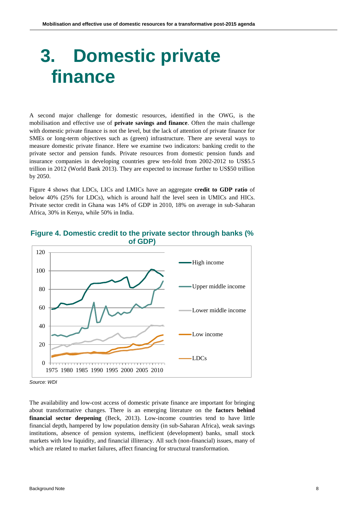# **3. Domestic private finance**

A second major challenge for domestic resources, identified in the OWG, is the mobilisation and effective use of **private savings and finance**. Often the main challenge with domestic private finance is not the level, but the lack of attention of private finance for SMEs or long-term objectives such as (green) infrastructure. There are several ways to measure domestic private finance. Here we examine two indicators: banking credit to the private sector and pension funds. Private resources from domestic pension funds and insurance companies in developing countries grew ten-fold from 2002-2012 to US\$5.5 trillion in 2012 (World Bank 2013). They are expected to increase further to US\$50 trillion by 2050.

Figure 4 shows that LDCs, LICs and LMICs have an aggregate **credit to GDP ratio** of below 40% (25% for LDCs), which is around half the level seen in UMICs and HICs. Private sector credit in Ghana was 14% of GDP in 2010, 18% on average in sub-Saharan Africa, 30% in Kenya, while 50% in India.



#### **Figure 4. Domestic credit to the private sector through banks (% of GDP)**

The availability and low-cost access of domestic private finance are important for bringing about transformative changes. There is an emerging literature on the **factors behind financial sector deepening** (Beck, 2013). Low-income countries tend to have little financial depth, hampered by low population density (in sub-Saharan Africa), weak savings institutions, absence of pension systems, inefficient (development) banks, small stock markets with low liquidity, and financial illiteracy. All such (non-financial) issues, many of which are related to market failures, affect financing for structural transformation.

*Source: WDI*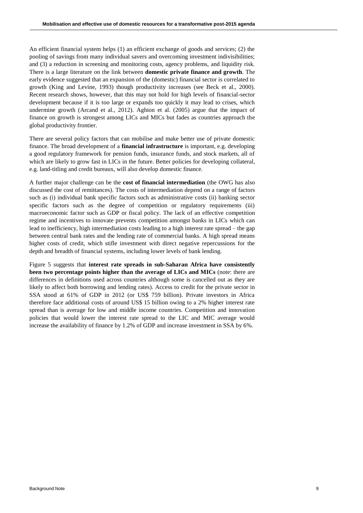An efficient financial system helps (1) an efficient exchange of goods and services; (2) the pooling of savings from many individual savers and overcoming investment indivisibilities; and (3) a reduction in screening and monitoring costs, agency problems, and liquidity risk. There is a large literature on the link between **domestic private finance and growth**. The early evidence suggested that an expansion of the (domestic) financial sector is correlated to growth (King and Levine, 1993) though productivity increases (see Beck et al., 2000). Recent research shows, however, that this may not hold for high levels of financial-sector development because if it is too large or expands too quickly it may lead to crises, which undermine growth (Arcand et al., 2012). Aghion et al. (2005) argue that the impact of finance on growth is strongest among LICs and MICs but fades as countries approach the global productivity frontier.

There are several policy factors that can mobilise and make better use of private domestic finance. The broad development of a **financial infrastructure** is important, e.g. developing a good regulatory framework for pension funds, insurance funds, and stock markets, all of which are likely to grow fast in LICs in the future. Better policies for developing collateral, e.g. land-titling and credit bureaux, will also develop domestic finance.

A further major challenge can be the **cost of financial intermediation** (the OWG has also discussed the cost of remittances). The costs of intermediation depend on a range of factors such as (i) individual bank specific factors such as administrative costs (ii) banking sector specific factors such as the degree of competition or regulatory requirements (iii) macroeconomic factor such as GDP or fiscal policy. The lack of an effective competition regime and incentives to innovate prevents competition amongst banks in LICs which can lead to inefficiency, high intermediation costs leading to a high interest rate spread – the gap between central bank rates and the lending rate of commercial banks. A high spread means higher costs of credit, which stifle investment with direct negative repercussions for the depth and breadth of financial systems, including lower levels of bank lending.

Figure 5 suggests that **interest rate spreads in sub-Saharan Africa have consistently been two percentage points higher than the average of LICs and MICs** (note: there are differences in definitions used across countries although some is cancelled out as they are likely to affect both borrowing and lending rates). Access to credit for the private sector in SSA stood at 61% of GDP in 2012 (or US\$ 759 billion). Private investors in Africa therefore face additional costs of around US\$ 15 billion owing to a 2% higher interest rate spread than is average for low and middle income countries. Competition and innovation policies that would lower the interest rate spread to the LIC and MIC average would increase the availability of finance by 1.2% of GDP and increase investment in SSA by 6%.